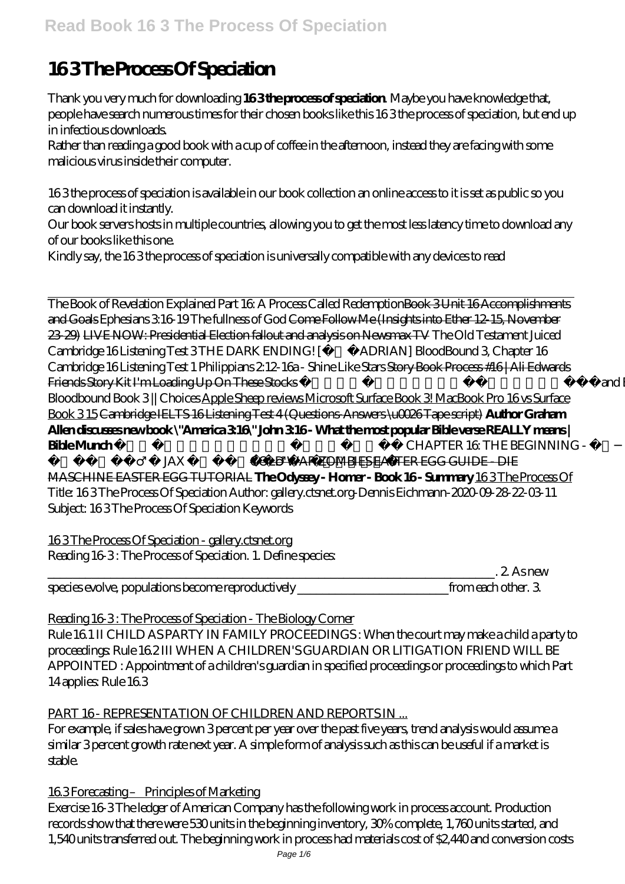# **Read Book 16 3 The Process Of Speciation**

# **16 3 The Process Of Speciation**

Thank you very much for downloading **16 3 the process of speciation**. Maybe you have knowledge that, people have search numerous times for their chosen books like this 16 3 the process of speciation, but end up in infectious downloads.

Rather than reading a good book with a cup of coffee in the afternoon, instead they are facing with some malicious virus inside their computer.

16 3 the process of speciation is available in our book collection an online access to it is set as public so you can download it instantly.

Our book servers hosts in multiple countries, allowing you to get the most less latency time to download any of our books like this one.

Kindly say, the 16 3 the process of speciation is universally compatible with any devices to read

The Book of Revelation Explained Part 16: A Process Called RedemptionBook 3 Unit 16 Accomplishments and Goals *Ephesians 3:16-19 The fullness of God* Come Follow Me (Insights into Ether 12-15, November 23-29) LIVE NOW: Presidential Election fallout and analysis on Newsmax TV *The Old Testament Juiced Cambridge 16 Listening Test 3 THE DARK ENDING! [ADRIAN] BloodBound 3, Chapter 16 Cambridge 16 Listening Test 1 Philippians 2:12-16a - Shine Like Stars* Story Book Process #16 | Ali Edwards Friends Story Kit I'm Loading Up On These Stocks *TO FOREVER! FINALE! (and BONUS) Ch 16. Bloodbound Book 3 || Choices* Apple Sheep reviews Microsoft Surface Book 3! MacBook Pro 16 vs Surface Book 3 15 Cambridge IELTS 16 Listening Test 4 (Questions-Answers \u0026 Tape script) **Author Graham Allen discusses new book \"America 3:16\" John 3:16 - What the most popular Bible verse REALLY means | Bible Munch**  *BLOODBOUND III - CHAPTER 16: THE BEGINNING - ALL LI - ♂️ JAX ♂️ -*  COLD WAR ZOMBIES EASTER EGG GUIDE - DIE MASCHINE EASTER EGG TUTORIAL **The Odyssey - Homer - Book 16 - Summary** 16 3 The Process Of Title: 16 3 The Process Of Speciation Author: gallery.ctsnet.org-Dennis Eichmann-2020-09-28-22-03-11 Subject: 163 The Process Of Speciation Keywords

16 3 The Process Of Speciation - gallery.ctsnet.org Reading 16-3: The Process of Speciation. 1. Define species:

\_\_\_\_\_\_\_\_\_\_\_\_\_\_\_\_\_\_\_\_\_\_\_\_\_\_\_\_\_\_\_\_\_\_\_\_\_\_\_\_\_\_\_\_\_\_\_\_\_\_\_\_\_\_\_\_\_\_\_\_\_\_\_\_\_\_\_\_\_\_\_. 2. As new species evolve, populations become reproductively \_\_\_\_\_\_\_\_\_\_\_\_\_\_\_\_\_\_\_\_\_\_\_\_from each other. 3.

# Reading 16-3 : The Process of Speciation - The Biology Corner

Rule 16.1 II CHILD AS PARTY IN FAMILY PROCEEDINGS : When the court may make a child a party to proceedings: Rule 16.2 III WHEN A CHILDREN'S GUARDIAN OR LITIGATION FRIEND WILL BE APPOINTED : Appointment of a children's guardian in specified proceedings or proceedings to which Part 14 applies: Rule 16.3

PART 16 - REPRESENTATION OF CHILDREN AND REPORTS IN ...

For example, if sales have grown 3 percent per year over the past five years, trend analysis would assume a similar 3 percent growth rate next year. A simple form of analysis such as this can be useful if a market is stable.

16.3 Forecasting – Principles of Marketing

Exercise 16-3 The ledger of American Company has the following work in process account. Production records show that there were 530 units in the beginning inventory, 30% complete, 1,760 units started, and 1,540 units transferred out. The beginning work in process had materials cost of \$2,440 and conversion costs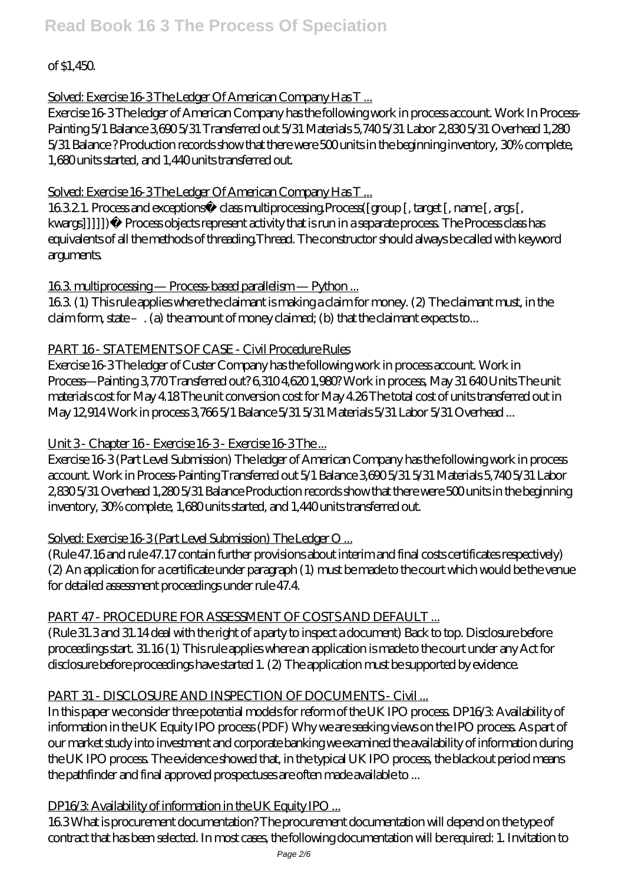#### of \$1,450.

## Solved: Exercise 16-3 The Ledger Of American Company Has T...

Exercise 16-3 The ledger of American Company has the following work in process account. Work In Process-Painting 5/1 Balance 3,690 5/31 Transferred out 5/31 Materials 5,740 5/31 Labor 2,830 5/31 Overhead 1,280 5/31 Balance ? Production records show that there were 500 units in the beginning inventory, 30% complete, 1,680 units started, and 1,440 units transferred out.

#### Solved: Exercise 16-3 The Ledger Of American Company Has T...

16.3.2.1. Process and exceptions<sup>[1]</sup> class multiprocessing. Process([group [, target [, name [, args [, kwargs]]]]])¶ Process objects represent activity that is run in a separate process. The Process class has equivalents of all the methods of threading.Thread. The constructor should always be called with keyword arguments.

## 16.3. multiprocessing — Process-based parallelism — Python ...

16.3. (1) This rule applies where the claimant is making a claim for money. (2) The claimant must, in the claim form, state –. (a) the amount of money claimed; (b) that the claimant expects to...

# PART 16 - STATEMENTS OF CASE - Civil Procedure Rules

Exercise 16-3 The ledger of Custer Company has the following work in process account. Work in Process—Painting 3,770 Transferred out? 6,310 4,620 1,980? Work in process, May 31 640 Units The unit materials cost for May 4.18 The unit conversion cost for May 4.26 The total cost of units transferred out in May 12,914 Work in process 3,766 5/1 Balance 5/31 5/31 Materials 5/31 Labor 5/31 Overhead ...

Unit 3 - Chapter 16 - Exercise 16-3 - Exercise 16-3 The ...

Exercise 16-3 (Part Level Submission) The ledger of American Company has the following work in process account. Work in Process-Painting Transferred out 5/1 Balance 3,690 5/31 5/31 Materials 5,740 5/31 Labor 2,830 5/31 Overhead 1,280 5/31 Balance Production records show that there were 500 units in the beginning inventory, 30% complete, 1,680 units started, and 1,440 units transferred out.

# Solved: Exercise 16-3 (Part Level Submission) The Ledger O ...

(Rule 47.16 and rule 47.17 contain further provisions about interim and final costs certificates respectively) (2) An application for a certificate under paragraph (1) must be made to the court which would be the venue for detailed assessment proceedings under rule 47.4.

# PART 47 - PROCEDURE FOR ASSESSMENT OF COSTS AND DEFAULT ...

(Rule 31.3 and 31.14 deal with the right of a party to inspect a document) Back to top. Disclosure before proceedings start. 31.16 (1) This rule applies where an application is made to the court under any Act for disclosure before proceedings have started 1. (2) The application must be supported by evidence.

# PART 31 - DISCLOSURE AND INSPECTION OF DOCUMENTS - Civil ...

In this paper we consider three potential models for reform of the UK IPO process. DP16/3: Availability of information in the UK Equity IPO process (PDF) Why we are seeking views on the IPO process. As part of our market study into investment and corporate banking we examined the availability of information during the UK IPO process. The evidence showed that, in the typical UK IPO process, the blackout period means the pathfinder and final approved prospectuses are often made available to ...

DP16/3 Availability of information in the UK Equity IPO ...

16.3 What is procurement documentation? The procurement documentation will depend on the type of contract that has been selected. In most cases, the following documentation will be required: 1. Invitation to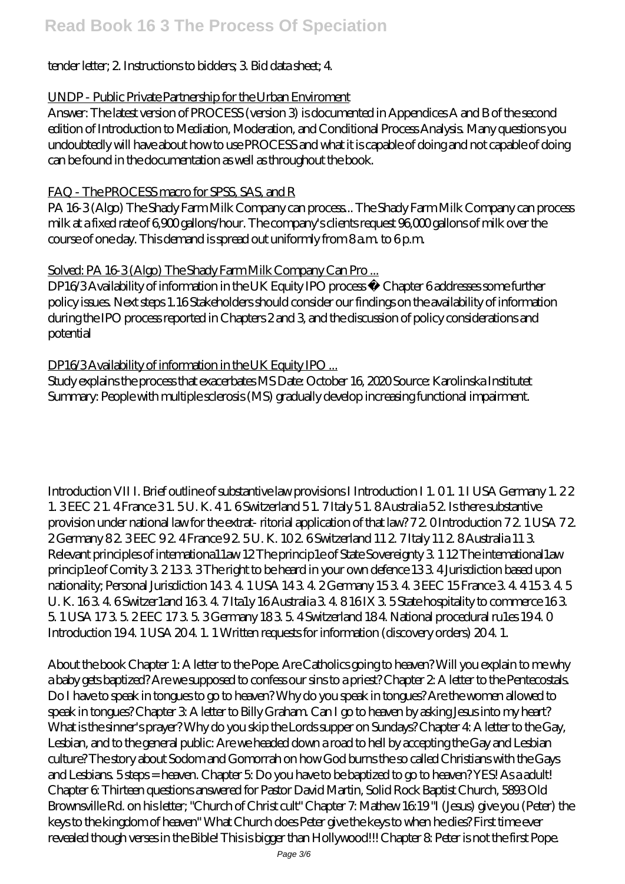#### tender letter; 2. Instructions to bidders; 3. Bid data sheet; 4.

#### UNDP - Public Private Partnership for the Urban Enviroment

Answer: The latest version of PROCESS (version 3) is documented in Appendices A and B of the second edition of Introduction to Mediation, Moderation, and Conditional Process Analysis. Many questions you undoubtedly will have about how to use PROCESS and what it is capable of doing and not capable of doing can be found in the documentation as well as throughout the book.

#### FAQ - The PROCESS macro for SPSS, SAS, and R

PA 16-3 (Algo) The Shady Farm Milk Company can process... The Shady Farm Milk Company can process milk at a fixed rate of 6,900 gallons/hour. The company's clients request 96,000 gallons of milk over the course of one day. This demand is spread out uniformly from 8 a.m. to 6 p.m.

## Solved: PA 16-3 (Algo) The Shady Farm Milk Company Can Pro ...

DP16/3 Availability of information in the UK Equity IPO process • Chapter 6 addresses some further policy issues. Next steps 1.16 Stakeholders should consider our findings on the availability of information during the IPO process reported in Chapters 2 and 3, and the discussion of policy considerations and potential

#### DP16/3 Availability of information in the UK Equity IPO ...

Study explains the process that exacerbates MS Date: October 16, 2020 Source: Karolinska Institutet Summary: People with multiple sclerosis (MS) gradually develop increasing functional impairment.

Introduction VII I. Brief outline of substantive law provisions I Introduction I 1. 0 1. 1 I USA Germany 1. 2 2 1. 3 EEC 2 1. 4 France 3 1. 5 U. K. 4 1. 6 Switzerland 5 1. 7 Italy 5 1. 8 Australia 5 2. Is there substantive provision under national law for the extrat- ritorial application of that law? 7 2. 0 Introduction 7 2. 1 USA 7 2. 2 Germany 8 2. 3 EEC 9 2. 4 France 9 2. 5 U. K. 10 2. 6 Switzerland 11 2. 7 Italy 11 2. 8 Australia 11 3. Relevant principles of intemationa11aw 12 The princip1e of State Sovereignty 3. 1 12 The intemational1aw princip1e of Comity 3. 2 13 3. 3 The right to be heard in your own defence 13 3. 4 Jurisdiction based upon nationality; Personal Jurisdiction 143.4.1 USA 143.4.2 Germany 153.4.3 EEC 15 France 3.4.4 153.4.5 U. K. 163. 4. 6 Switzer 1 and 163. 4. 7 Ita1y 16 Australia 3. 4. 8 16 IX 3. 5 State hospitality to commerce 163. 5. 1 USA 17 3. 5. 2 EEC 17 3. 5. 3 Germany 18 3. 5. 4 Switzerland 18 4. National procedural ru1es 19 4. 0 Introduction 194. 1 USA 204. 1. 1 Written requests for information (discovery orders) 204. 1.

About the book Chapter 1: A letter to the Pope. Are Catholics going to heaven? Will you explain to me why a baby gets baptized? Are we supposed to confess our sins to a priest? Chapter 2: A letter to the Pentecostals. Do I have to speak in tongues to go to heaven? Why do you speak in tongues? Are the women allowed to speak in tongues? Chapter 3: A letter to Billy Graham. Can I go to heaven by asking Jesus into my heart? What is the sinner's prayer? Why do you skip the Lords supper on Sundays? Chapter 4: A letter to the Gay, Lesbian, and to the general public: Are we headed down a road to hell by accepting the Gay and Lesbian culture? The story about Sodom and Gomorrah on how God burns the so called Christians with the Gays and Lesbians. 5 steps = heaven. Chapter 5: Do you have to be baptized to go to heaven? YES! As a adult! Chapter 6: Thirteen questions answered for Pastor David Martin, Solid Rock Baptist Church, 5893 Old Brownsville Rd. on his letter; "Church of Christ cult" Chapter 7: Mathew 16:19 "I (Jesus) give you (Peter) the keys to the kingdom of heaven" What Church does Peter give the keys to when he dies? First time ever revealed though verses in the Bible! This is bigger than Hollywood!!! Chapter 8: Peter is not the first Pope.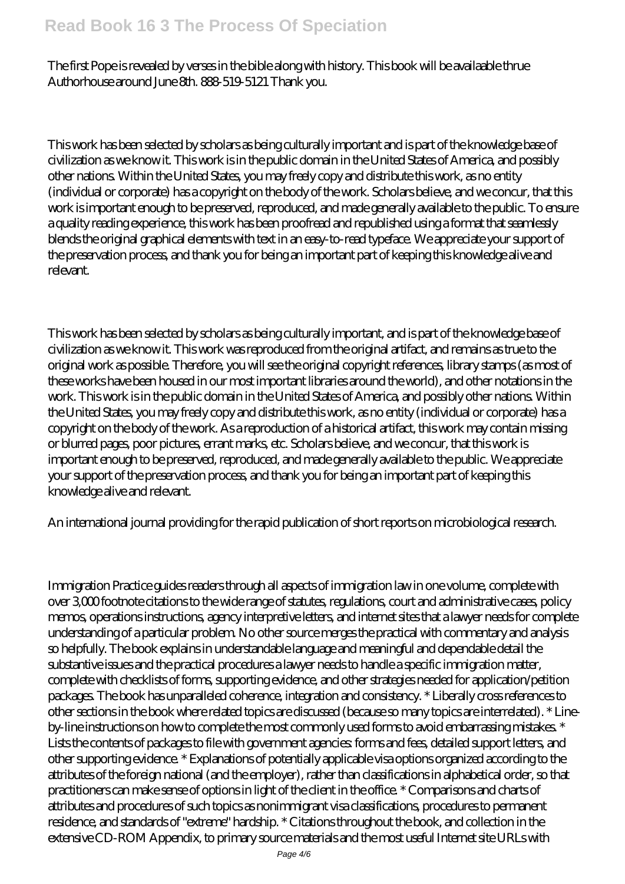# **Read Book 16 3 The Process Of Speciation**

The first Pope is revealed by verses in the bible along with history. This book will be availaable thrue Authorhouse around June 8th. 888-519-5121 Thank you.

This work has been selected by scholars as being culturally important and is part of the knowledge base of civilization as we know it. This work is in the public domain in the United States of America, and possibly other nations. Within the United States, you may freely copy and distribute this work, as no entity (individual or corporate) has a copyright on the body of the work. Scholars believe, and we concur, that this work is important enough to be preserved, reproduced, and made generally available to the public. To ensure a quality reading experience, this work has been proofread and republished using a format that seamlessly blends the original graphical elements with text in an easy-to-read typeface. We appreciate your support of the preservation process, and thank you for being an important part of keeping this knowledge alive and relevant.

This work has been selected by scholars as being culturally important, and is part of the knowledge base of civilization as we know it. This work was reproduced from the original artifact, and remains as true to the original work as possible. Therefore, you will see the original copyright references, library stamps (as most of these works have been housed in our most important libraries around the world), and other notations in the work. This work is in the public domain in the United States of America, and possibly other nations. Within the United States, you may freely copy and distribute this work, as no entity (individual or corporate) has a copyright on the body of the work. As a reproduction of a historical artifact, this work may contain missing or blurred pages, poor pictures, errant marks, etc. Scholars believe, and we concur, that this work is important enough to be preserved, reproduced, and made generally available to the public. We appreciate your support of the preservation process, and thank you for being an important part of keeping this knowledge alive and relevant.

An international journal providing for the rapid publication of short reports on microbiological research.

Immigration Practice guides readers through all aspects of immigration law in one volume, complete with over 3,000 footnote citations to the wide range of statutes, regulations, court and administrative cases, policy memos, operations instructions, agency interpretive letters, and internet sites that a lawyer needs for complete understanding of a particular problem. No other source merges the practical with commentary and analysis so helpfully. The book explains in understandable language and meaningful and dependable detail the substantive issues and the practical procedures a lawyer needs to handle a specific immigration matter, complete with checklists of forms, supporting evidence, and other strategies needed for application/petition packages. The book has unparalleled coherence, integration and consistency. \* Liberally cross references to other sections in the book where related topics are discussed (because so many topics are interrelated). \* Lineby-line instructions on how to complete the most commonly used forms to avoid embarrassing mistakes. \* Lists the contents of packages to file with government agencies: forms and fees, detailed support letters, and other supporting evidence. \* Explanations of potentially applicable visa options organized according to the attributes of the foreign national (and the employer), rather than classifications in alphabetical order, so that practitioners can make sense of options in light of the client in the office. \* Comparisons and charts of attributes and procedures of such topics as nonimmigrant visa classifications, procedures to permanent residence, and standards of "extreme" hardship. \* Citations throughout the book, and collection in the extensive CD-ROM Appendix, to primary source materials and the most useful Internet site URLs with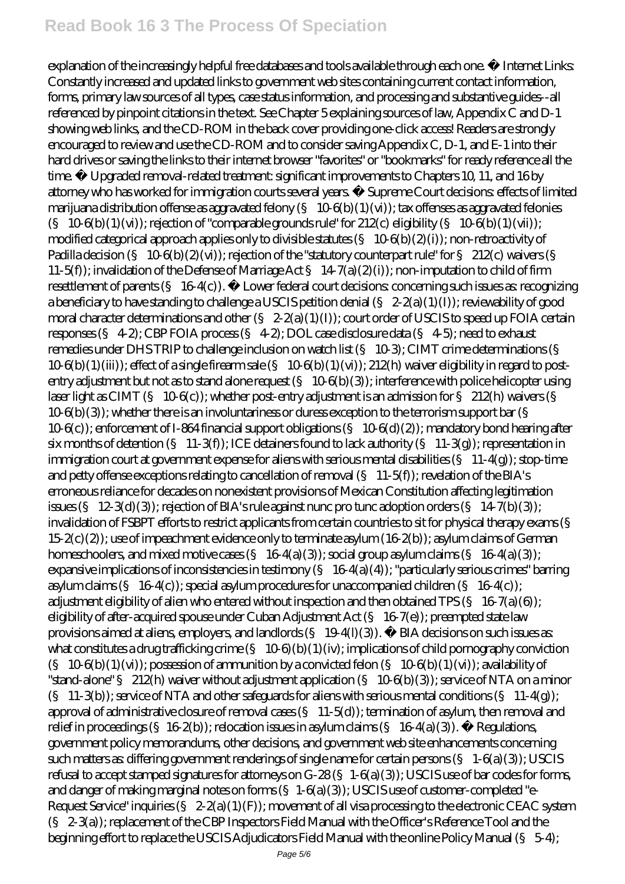# **Read Book 16 3 The Process Of Speciation**

explanation of the increasingly helpful free databases and tools available through each one. • Internet Links: Constantly increased and updated links to government web sites containing current contact information, forms, primary law sources of all types, case status information, and processing and substantive guides--all referenced by pinpoint citations in the text. See Chapter 5 explaining sources of law, Appendix C and D-1 showing web links, and the CD-ROM in the back cover providing one-click access! Readers are strongly encouraged to review and use the CD-ROM and to consider saving Appendix C, D-1, and E-1 into their hard drives or saving the links to their internet browser "favorites" or "bookmarks" for ready reference all the time. • Upgraded removal-related treatment: significant improvements to Chapters 10, 11, and 16 by attorney who has worked for immigration courts several years. • Supreme Court decisions: effects of limited marijuana distribution offense as aggravated felony  $(S \t10-G(b)(1)(vi))$ ; tax offenses as aggravated felonies  $(§ 10-6(b)(1)(vi))$ ; rejection of "comparable grounds rule" for  $212(c)$  eligibility  $(§ 10-6(b)(1)(vii))$ ; modified categorical approach applies only to divisible statutes  $(S \t10-G(b)(2)(i))$ ; non-retroactivity of Padilla decision  $(\S \quad 10\Theta(b)(2)(vi))$ ; rejection of the "statutory counterpart rule" for  $\S \quad 212(c)$  waivers  $(\S \quad$ 11-5(f)); invalidation of the Defense of Marriage Act § 14-7(a)(2)(i)); non-imputation to child of firm resettlement of parents (§ 16-4(c)). • Lower federal court decisions: concerning such issues as: recognizing a beneficiary to have standing to challenge a USCIS petition denial  $(S \quad 2\text{-} 2(a)(1)(I))$ ; reviewability of good moral character determinations and other  $(S \quad 2-2(a)(1)(I))$ ; court order of USCIS to speed up FOIA certain responses (§  $4-2$ ); CBP FOIA process (§  $4-2$ ); DOL case disclosure data (§  $4-5$ ); need to exhaust remedies under DHS TRIP to challenge inclusion on watch list (§ 10-3); CIMT crime determinations (§  $10-6(b)(1(iii))$ ; effect of a single firearm sale  $(S-10-6(b)(1)(vi))$ ; 212(h) waiver eligibility in regard to postentry adjustment but not as to stand alone request (§ 10-6(b)(3)); interference with police helicopter using laser light as CIMT (§ 10-6(c)); whether post-entry adjustment is an admission for § 212(h) waivers (§ 10-6(b)(3)); whether there is an involuntariness or duress exception to the terrorism support bar (§ 10-6(c)); enforcement of I-864 financial support obligations (§ 10-6(d)(2)); mandatory bond hearing after six months of detention  $(S \ 11-3(f))$ ; ICE detainers found to lack authority  $(S \ 11-3(g))$ ; representation in immigration court at government expense for aliens with serious mental disabilities  $(\S \quad 11-4(g))$ ; stop-time and petty offense exceptions relating to cancellation of removal (§ 11-5(f)); revelation of the BIA's erroneous reliance for decades on nonexistent provisions of Mexican Constitution affecting legitimation issues  $(\S \quad 12\text{-}3(d)(3))$ ; rejection of BIA's rule against nunc pro tunc adoption orders  $(\S \quad 14\text{-}7(b)(3))$ ; invalidation of FSBPT efforts to restrict applicants from certain countries to sit for physical therapy exams (§ 15-2(c)(2)); use of impeachment evidence only to terminate asylum (16-2(b)); asylum claims of German homeschoolers, and mixed motive cases  $(S \t16-4(a)(3))$ ; social group asylum claims  $(S \t16-4(a)(3))$ ; expansive implications of inconsistencies in testimony  $(S \t16-4(a)(4))$ ; "particularly serious crimes" barring asylum claims (§ 16-4(c)); special asylum procedures for unaccompanied children (§ 16-4(c)); adjustment eligibility of alien who entered without inspection and then obtained TPS  $(\S \quad 16-7(a)(6))$ ; eligibility of after-acquired spouse under Cuban Adjustment Act (§ 16-7(e)); preempted state law provisions aimed at aliens, employers, and landlords  $(\S \quad 19-4(I)(3))$ . • BIA decisions on such issues as: what constitutes a drug trafficking crime (§ 10-6)(b)(1)(iv); implications of child pornography conviction  $(S \t10-6(b)(1)(vi))$ ; possession of ammunition by a convicted felon  $(S \t10-6(b)(1)(vi))$ ; availability of "stand-alone" § 212(h) waiver without adjustment application (§ 10-6(b)(3)); service of NTA on a minor  $(S<sub>11-3(b)</sub>)$ ; service of NTA and other safeguards for aliens with serious mental conditions  $(S<sub>11-4(g)</sub>)$ ; approval of administrative closure of removal cases (§ 11-5(d)); termination of asylum, then removal and relief in proceedings  $(\S 16-2(b))$ ; relocation issues in asylum claims  $(\S 16-4(a)(3))$ . • Regulations, government policy memorandums, other decisions, and government web site enhancements concerning such matters as: differing government renderings of single name for certain persons (§ 1-6(a)(3)); USCIS refusal to accept stamped signatures for attorneys on G-28 (§1-6(a)(3)); USCIS use of bar codes for forms, and danger of making marginal notes on forms  $(\S 1-G(a)(3))$ ; USCIS use of customer-completed "e-Request Service" inquiries  $(\S 2\text{-}2(a)(1)(F))$ ; movement of all visa processing to the electronic CEAC system (§ 2-3(a)); replacement of the CBP Inspectors Field Manual with the Officer's Reference Tool and the beginning effort to replace the USCIS Adjudicators Field Manual with the online Policy Manual (§ 5-4);